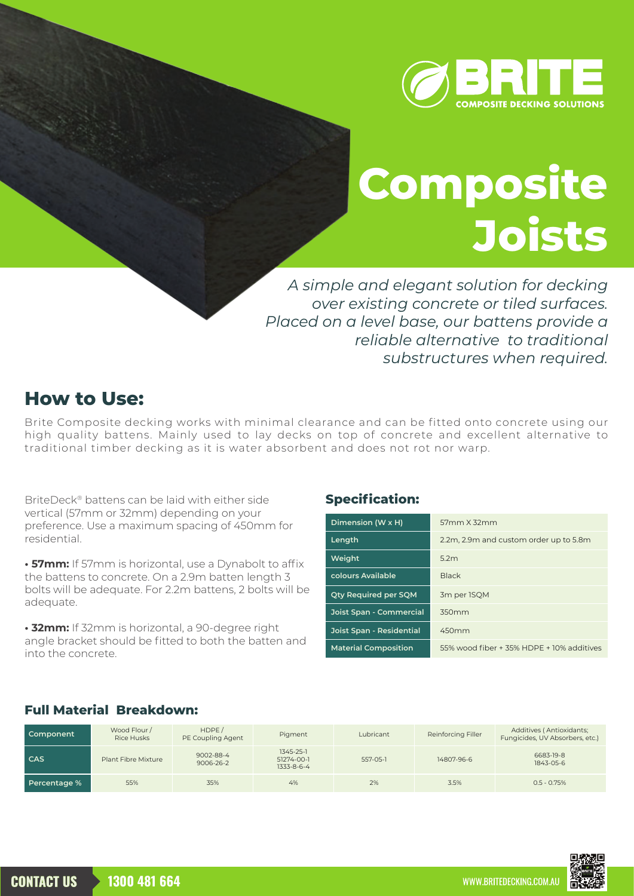

# **Composite Joists**

*A simple and elegant solution for decking over existing concrete or tiled surfaces. Placed on a level base, our battens provide a reliable alternative to traditional substructures when required.*

## **How to Use:**

Brite Composite decking works with minimal clearance and can be fitted onto concrete using our high quality battens. Mainly used to lay decks on top of concrete and excellent alternative to traditional timber decking as it is water absorbent and does not rot nor warp.

BriteDeck® battens can be laid with either side vertical (57mm or 32mm) depending on your preference. Use a maximum spacing of 450mm for residential.

**• 57mm:** If 57mm is horizontal, use a Dynabolt to affix the battens to concrete. On a 2.9m batten length 3 bolts will be adequate. For 2.2m battens, 2 bolts will be adequate.

**• 32mm:** If 32mm is horizontal, a 90-degree right angle bracket should be fitted to both the batten and into the concrete.

#### **Specification:**

| Dimension (W x H)           | 57mm X 32mm                               |  |  |
|-----------------------------|-------------------------------------------|--|--|
| Length                      | 2.2m, 2.9m and custom order up to 5.8m    |  |  |
| Weight                      | 5.2m                                      |  |  |
| colours Available           | <b>Black</b>                              |  |  |
| <b>Qty Required per SQM</b> | 3m per ISQM                               |  |  |
| Joist Span - Commercial     | 350mm                                     |  |  |
| Joist Span - Residential    | 450mm                                     |  |  |
| <b>Material Composition</b> | 55% wood fiber + 35% HDPE + 10% additives |  |  |

#### **Full Material Breakdown:**

| Component    | Wood Flour /<br><b>Rice Husks</b> | HDFE/<br>PE Coupling Agent | Pigment                               | Lubricant | Reinforcing Filler | Additives (Antioxidants;<br>Fungicides, UV Absorbers, etc.) |
|--------------|-----------------------------------|----------------------------|---------------------------------------|-----------|--------------------|-------------------------------------------------------------|
| CAS          | Plant Fibre Mixture               | 9002-88-4<br>9006-26-2     | 1345-25-1<br>51274-00-1<br>1333-8-6-4 | 557-05-1  | 14807-96-6         | 6683-19-8<br>1843-05-6                                      |
| Percentage % | 55%                               | 35%                        | 4%                                    | 2%        | 3.5%               | $0.5 - 0.75%$                                               |